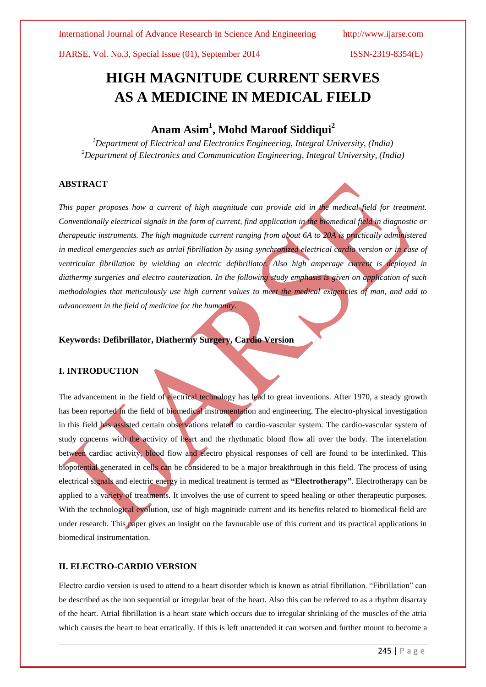International Journal of Advance Research In Science And Engineering http://www.ijarse.com

IJARSE, Vol. No.3, Special Issue (01), September 2014 ISSN-2319-8354(E)

# **HIGH MAGNITUDE CURRENT SERVES AS A MEDICINE IN MEDICAL FIELD**

## **Anam Asim<sup>1</sup> , Mohd Maroof Siddiqui<sup>2</sup>**

*<sup>1</sup>Department of Electrical and Electronics Engineering, Integral University, (India) <sup>2</sup>Department of Electronics and Communication Engineering, Integral University, (India)*

### **ABSTRACT**

*This paper proposes how a current of high magnitude can provide aid in the medical field for treatment. Conventionally electrical signals in the form of current, find application in the biomedical field in diagnostic or therapeutic instruments. The high magnitude current ranging from about 6A to 20A is practically administered in medical emergencies such as atrial fibrillation by using synchronized electrical cardio version or in case of ventricular fibrillation by wielding an electric defibrillator. Also high amperage current is deployed in diathermy surgeries and electro cauterization. In the following study emphasis is given on application of such methodologies that meticulously use high current values to meet the medical exigencies of man, and add to advancement in the field of medicine for the humanity*.

**Keywords: Defibrillator, Diathermy Surgery, Cardio Version**

### **I. INTRODUCTION**

The advancement in the field of electrical technology has lead to great inventions. After 1970, a steady growth has been reported in the field of biomedical instrumentation and engineering. The electro-physical investigation in this field has assisted certain observations related to cardio-vascular system. The cardio-vascular system of study concerns with the activity of heart and the rhythmatic blood flow all over the body. The interrelation between cardiac activity, blood flow and electro physical responses of cell are found to be interlinked. This biopotential generated in cells can be considered to be a major breakthrough in this field. The process of using electrical signals and electric energy in medical treatment is termed as **"Electrotherapy"**. Electrotherapy can be applied to a variety of treatments. It involves the use of current to speed healing or other therapeutic purposes. With the technological evolution, use of high magnitude current and its benefits related to biomedical field are under research. This paper gives an insight on the favourable use of this current and its practical applications in biomedical instrumentation.

### **II. ELECTRO-CARDIO VERSION**

Electro cardio version is used to attend to a heart disorder which is known as atrial fibrillation. "Fibrillation" can be described as the non sequential or irregular beat of the heart. Also this can be referred to as a rhythm disarray of the heart. Atrial fibrillation is a heart state which occurs due to irregular shrinking of the muscles of the atria which causes the heart to beat erratically. If this is left unattended it can worsen and further mount to become a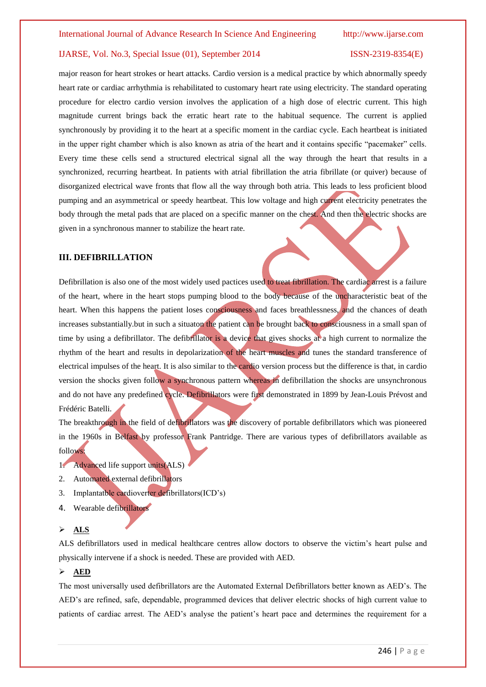major reason for heart strokes or heart attacks. Cardio version is a medical practice by which abnormally speedy heart rate or cardiac arrhythmia is rehabilitated to customary heart rate using electricity. The standard operating procedure for electro cardio version involves the application of a high dose of electric current. This high magnitude current brings back the erratic heart rate to the habitual sequence. The current is applied synchronously by providing it to the heart at a specific moment in the cardiac cycle. Each heartbeat is initiated in the upper right chamber which is also known as atria of the heart and it contains specific "pacemaker" cells. Every time these cells send a structured electrical signal all the way through the heart that results in a synchronized, recurring heartbeat. In patients with atrial fibrillation the atria fibrillate (or quiver) because of disorganized electrical wave fronts that flow all the way through both atria. This leads to less proficient blood pumping and an asymmetrical or speedy heartbeat. This low voltage and high current electricity penetrates the body through the metal pads that are placed on a specific manner on the chest. And then the electric shocks are given in a synchronous manner to stabilize the heart rate.

#### **III. DEFIBRILLATION**

Defibrillation is also one of the most widely used pactices used to treat fibrillation. The cardiac arrest is a failure of the heart, where in the heart stops pumping blood to the body because of the uncharacteristic beat of the heart. When this happens the patient loses consciousness and faces breathlessness, and the chances of death increases substantially.but in such a situaton the patient can be brought back to consciousness in a small span of time by using a defibrillator. The defibrillator is a device that gives shocks at a high current to normalize the rhythm of the heart and results in depolarization of the heart muscles and tunes the standard transference of electrical impulses of the heart. It is also similar to the cardio version process but the difference is that, in cardio version the shocks given follow a synchronous pattern whereas in defibrillation the shocks are unsynchronous and do not have any predefined cycle. Defibrillators were first demonstrated in 1899 by Jean-Louis Prévost and Frédéric Batelli.

The breakthrough in the field of defibrillators was the discovery of portable defibrillators which was pioneered in the 1960s in Belfast by professor Frank Pantridge. There are various types of defibrillators available as follows:

- 1. Advanced life support units(ALS)
- 2. Automated external defibrillators
- 3. Implantatble cardioverter defibrillators(ICD"s)
- 4. Wearable defibrillators

#### **ALS**

ALS defibrillators used in medical healthcare centres allow doctors to observe the victim"s heart pulse and physically intervene if a shock is needed. These are provided with AED.

#### **AED**

The most universally used defibrillators are the Automated External Defibrillators better known as AED"s. The AED"s are refined, safe, dependable, programmed devices that deliver electric shocks of high current value to patients of cardiac arrest. The AED"s analyse the patient"s heart pace and determines the requirement for a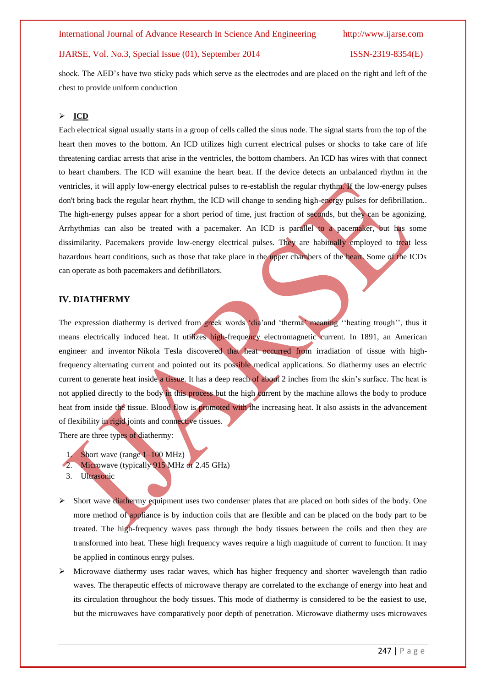shock. The AED"s have two sticky pads which serve as the electrodes and are placed on the right and left of the chest to provide uniform conduction

#### **ICD**

Each electrical signal usually starts in a group of cells called the sinus node. The signal starts from the top of the heart then moves to the bottom. An ICD utilizes high current electrical pulses or shocks to take care of life threatening cardiac arrests that arise in the ventricles, the bottom chambers. An ICD has wires with that connect to heart chambers. The ICD will examine the heart beat. If the device detects an unbalanced rhythm in the ventricles, it will apply low-energy electrical pulses to re-establish the regular rhythm. If the low-energy pulses don't bring back the regular heart rhythm, the ICD will change to sending high-energy pulses for defibrillation.. The high-energy pulses appear for a short period of time, just fraction of seconds, but they can be agonizing. Arrhythmias can also be treated with a pacemaker. An ICD is parallel to a pacemaker, but has some dissimilarity. Pacemakers provide low-energy electrical pulses. They are habitually employed to treat less hazardous heart conditions, such as those that take place in the upper chambers of the heart. Some of the ICDs can operate as both pacemakers and defibrillators.

### **IV. DIATHERMY**

The expression diathermy is derived from greek words 'dia'and 'therma' meaning "heating trough", thus it means electrically induced heat. It utilizes high-frequency electromagnetic current. In 1891, an American engineer and inventor Nikola Tesla discovered that heat occurred from irradiation of tissue with highfrequency alternating current and pointed out its possible medical applications. So diathermy uses an electric current to generate heat inside a tissue. It has a deep reach of about 2 inches from the skin's surface. The heat is not applied directly to the body in this process but the high current by the machine allows the body to produce heat from inside the tissue. Blood flow is promoted with the increasing heat. It also assists in the advancement of flexibility in rigid joints and connective tissues.

There are three types of diathermy:

- 1. Short wave (range 1–100 MHz)
- Microwave (typically 915 MHz or 2.45 GHz)
- 3. Ultrasonic
- $\triangleright$  Short wave diathermy equipment uses two condenser plates that are placed on both sides of the body. One more method of appliance is by induction coils that are flexible and can be placed on the body part to be treated. The high-frequency waves pass through the body tissues between the coils and then they are transformed into heat. These high frequency waves require a high magnitude of current to function. It may be applied in continous enrgy pulses.
- $\triangleright$  Microwave diathermy uses radar waves, which has higher frequency and shorter wavelength than radio waves. The therapeutic effects of microwave therapy are correlated to the exchange of energy into heat and its circulation throughout the body tissues. This mode of diathermy is considered to be the easiest to use, but the microwaves have comparatively poor depth of penetration. Microwave diathermy uses microwaves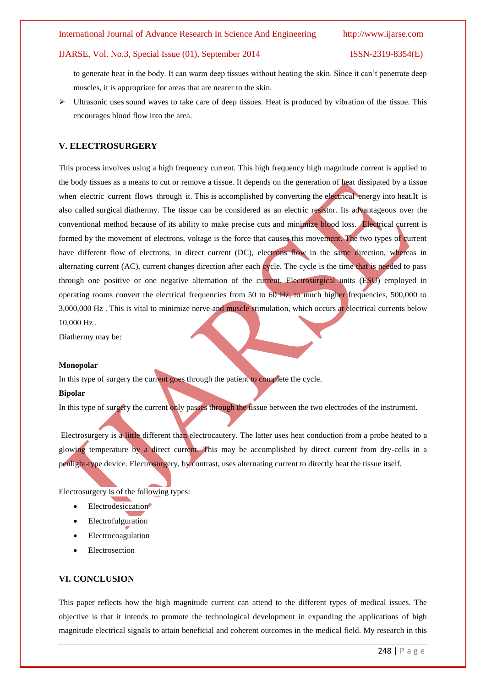to generate heat in the body. It can warm deep tissues without heating the skin. Since it can't penetrate deep muscles, it is appropriate for areas that are nearer to the skin.

 Ultrasonic uses sound waves to take care of deep tissues. Heat is produced by vibration of the tissue. This encourages blood flow into the area.

#### **V. ELECTROSURGERY**

This process involves using a high frequency current. This high frequency high magnitude current is applied to the body tissues as a means to cut or remove a tissue. It depends on the generation of heat dissipated by a tissue when electric current flows through it. This is accomplished by converting the electrical energy into heat.It is also called surgical diathermy. The tissue can be considered as an electric resistor. Its advantageous over the conventional method because of its ability to make precise cuts and minimize blood loss. Electrical current is formed by the movement of electrons, voltage is the force that causes this movement. The two types of current have different flow of electrons, in direct current (DC), electrons flow in the same direction, whereas in alternating current (AC), current changes direction after each cycle. The cycle is the time that is needed to pass through one positive or one negative alternation of the current. Electrosurgical units (ESU) employed in operating rooms convert the electrical frequencies from 50 to 60 Hz, to much higher frequencies, 500,000 to 3,000,000 Hz . This is vital to minimize nerve and muscle stimulation, which occurs at electrical currents below 10,000 Hz .

Diathermy may be:

#### **Monopolar**

In this type of surgery the current goes through the patient to complete the cycle.

#### **Bipolar**

In this type of surgery the current only passes through the tissue between the two electrodes of the instrument.

Electrosurgery is a little different than electrocautery. The latter uses heat conduction from a probe heated to a glowing temperature by a direct current. This may be accomplished by direct current from dry-cells in a penlight-type device. Electrosurgery, by contrast, uses alternating current to directly heat the tissue itself.

Electrosurgery is of the following types:

- Electrodesiccation
- Electrofulguration
- Electrocoagulation
- Electrosection

#### **VI. CONCLUSION**

This paper reflects how the high magnitude current can attend to the different types of medical issues. The objective is that it intends to promote the technological development in expanding the applications of high magnitude electrical signals to attain beneficial and coherent outcomes in the medical field. My research in this